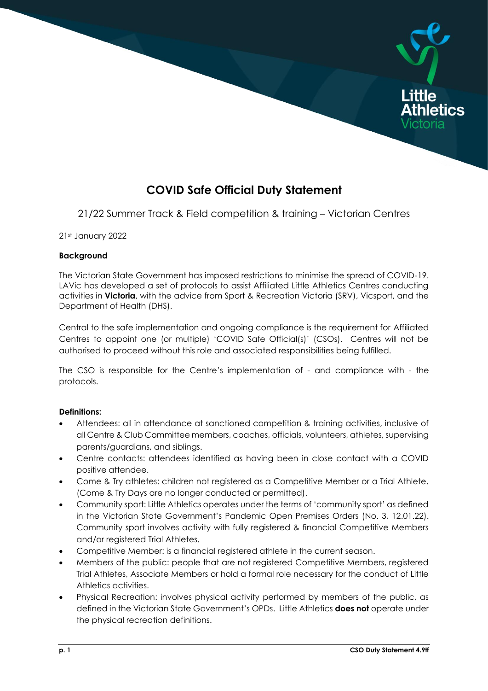

# **COVID Safe Official Duty Statement**

21/22 Summer Track & Field competition & training – Victorian Centres

21st January 2022

#### **Background**

The Victorian State Government has imposed restrictions to minimise the spread of COVID-19. LAVic has developed a set of protocols to assist Affiliated Little Athletics Centres conducting activities in **Victoria**, with the advice from Sport & Recreation Victoria (SRV), Vicsport, and the Department of Health (DHS).

Central to the safe implementation and ongoing compliance is the requirement for Affiliated Centres to appoint one (or multiple) 'COVID Safe Official(s)' (CSOs). Centres will not be authorised to proceed without this role and associated responsibilities being fulfilled.

The CSO is responsible for the Centre's implementation of - and compliance with - the protocols.

## **Definitions:**

- Attendees: all in attendance at sanctioned competition & training activities, inclusive of all Centre & Club Committee members, coaches, officials, volunteers, athletes, supervising parents/guardians, and siblings.
- Centre contacts: attendees identified as having been in close contact with a COVID positive attendee.
- Come & Try athletes: children not registered as a Competitive Member or a Trial Athlete. (Come & Try Days are no longer conducted or permitted).
- Community sport: Little Athletics operates under the terms of 'community sport' as defined in the Victorian State Government's Pandemic Open Premises Orders (No. 3, 12.01.22). Community sport involves activity with fully registered & financial Competitive Members and/or registered Trial Athletes.
- Competitive Member: is a financial registered athlete in the current season.
- Members of the public: people that are not registered Competitive Members, registered Trial Athletes, Associate Members or hold a formal role necessary for the conduct of Little Athletics activities.
- Physical Recreation: involves physical activity performed by members of the public, as defined in the Victorian State Government's OPDs. Little Athletics **does not** operate under the physical recreation definitions.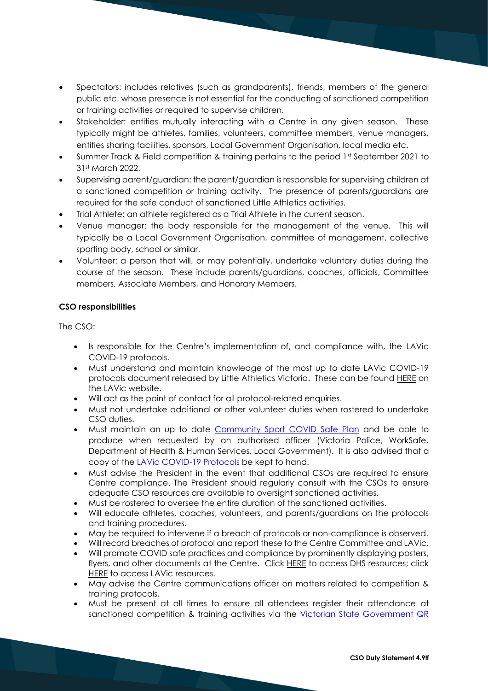- Spectators: includes relatives (such as grandparents), friends, members of the general public etc. whose presence is not essential for the conducting of sanctioned competition or training activities or required to supervise children.
- Stakeholder: entities mutually interacting with a Centre in any given season. These typically might be athletes, families, volunteers, committee members, venue managers, entities sharing facilities, sponsors, Local Government Organisation, local media etc.
- Summer Track & Field competition & training pertains to the period 1st September 2021 to 31st March 2022.
- Supervising parent/guardian: the parent/guardian is responsible for supervising children at a sanctioned competition or training activity. The presence of parents/guardians are required for the safe conduct of sanctioned Little Athletics activities.
- Trial Athlete: an athlete registered as a Trial Athlete in the current season.
- Venue manager: the body responsible for the management of the venue. This will typically be a Local Government Organisation, committee of management, collective sporting body, school or similar.
- Volunteer: a person that will, or may potentially, undertake voluntary duties during the course of the season. These include parents/guardians, coaches, officials, Committee members, Associate Members, and Honorary Members.

## **CSO responsibilities**

The CSO:

- Is responsible for the Centre's implementation of, and compliance with, the LAVic COVID-19 protocols.
- Must understand and maintain knowledge of the most up to date LAVic COVID-19 protocols document released by Little Athletics Victoria. These can be found [HERE](https://lavic.com.au/covid-19/) on the LAVic website.
- Will act as the point of contact for all protocol-related enquiries.
- Must not undertake additional or other volunteer duties when rostered to undertake CSO duties.
- Must maintain an up to date [Community Sport COVID Safe Plan](https://www.coronavirus.vic.gov.au/sites/default/files/2020-11/COVIDSafe-Plan-Community-Sports.pdf) and be able to produce when requested by an authorised officer (Victoria Police, WorkSafe, Department of Health & Human Services, Local Government). It is also advised that a copy of the [LAVic COVID-19 Protocols](https://lavic.com.au/covid-19/) be kept to hand.
- Must advise the President in the event that additional CSOs are required to ensure Centre compliance. The President should regularly consult with the CSOs to ensure adequate CSO resources are available to oversight sanctioned activities.
- Must be rostered to oversee the entire duration of the sanctioned activities.
- Will educate athletes, coaches, volunteers, and parents/guardians on the protocols and training procedures.
- May be required to intervene if a breach of protocols or non-compliance is observed.
- Will record breaches of protocol and report these to the Centre Committee and LAVic.
- Will promote COVID safe practices and compliance by prominently displaying posters, flyers, and other documents at the Centre. Click [HERE](https://www.coronavirus.vic.gov.au/signs-posters-and-templates) to access DHS resources; click [HERE](https://lavic.com.au/covid-19/) to access LAVic resources.
- May advise the Centre communications officer on matters related to competition & training protocols.
- Must be present at all times to ensure all attendees register their attendance at sanctioned competition & training activities via the Victorian State Government QR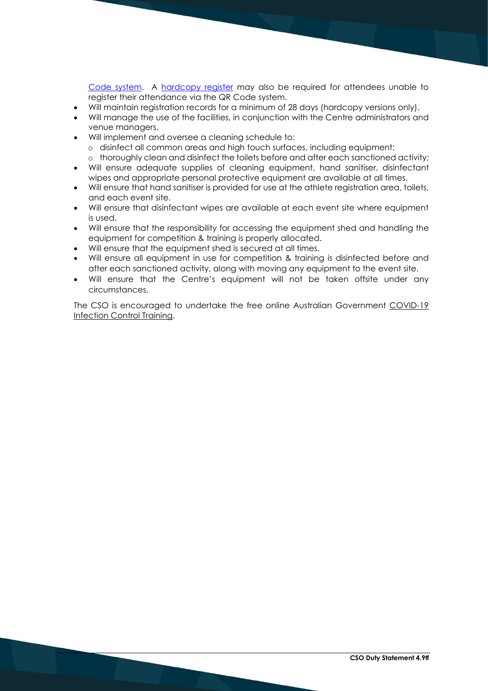[Code system.](https://www.coronavirus.vic.gov.au/about-victorian-government-qr-code-service) A [hardcopy register](https://lavic.com.au/wp-content/uploads/2020/06/LAVic-Attendance-Register-Template-091020.docx) may also be required for attendees unable to register their attendance via the QR Code system.

- Will maintain registration records for a minimum of 28 days (hardcopy versions only).
- Will manage the use of the facilities, in conjunction with the Centre administrators and venue managers,
- Will implement and oversee a cleaning schedule to:
	- o disinfect all common areas and high touch surfaces, including equipment;
	- o thoroughly clean and disinfect the toilets before and after each sanctioned activity;
- Will ensure adequate supplies of cleaning equipment, hand sanitiser, disinfectant wipes and appropriate personal protective equipment are available at all times.
- Will ensure that hand sanitiser is provided for use at the athlete registration area, toilets, and each event site.
- Will ensure that disinfectant wipes are available at each event site where equipment is used.
- Will ensure that the responsibility for accessing the equipment shed and handling the equipment for competition & training is properly allocated.
- Will ensure that the equipment shed is secured at all times.
- Will ensure all equipment in use for competition & training is disinfected before and after each sanctioned activity, along with moving any equipment to the event site.
- Will ensure that the Centre's equipment will not be taken offsite under any circumstances.

The CSO is encouraged to undertake the free online Australian Government [COVID-19](https://www.health.gov.au/resources/apps-and-tools/covid-19-infection-control-training)  [Infection Control Training.](https://www.health.gov.au/resources/apps-and-tools/covid-19-infection-control-training)